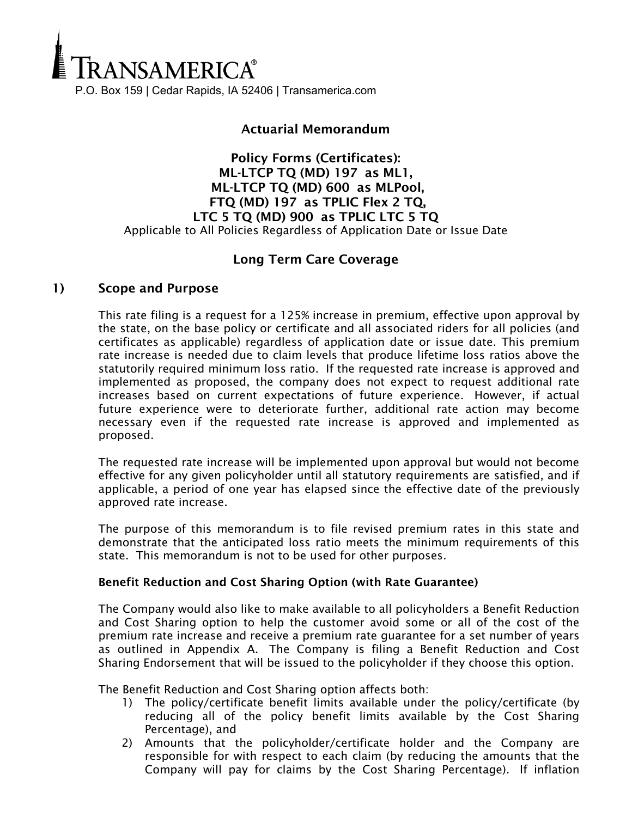

## Actuarial Memorandum

Policy Forms (Certificates): ML-LTCP TQ (MD) 197 as ML1, ML-LTCP TQ (MD) 600 as MLPool, FTQ (MD) 197 as TPLIC Flex 2 TQ, LTC 5 TQ (MD) 900 as TPLIC LTC 5 TQ Applicable to All Policies Regardless of Application Date or Issue Date

## Long Term Care Coverage

#### 1) Scope and Purpose

This rate filing is a request for a 125% increase in premium, effective upon approval by the state, on the base policy or certificate and all associated riders for all policies (and certificates as applicable) regardless of application date or issue date. This premium rate increase is needed due to claim levels that produce lifetime loss ratios above the statutorily required minimum loss ratio. If the requested rate increase is approved and implemented as proposed, the company does not expect to request additional rate increases based on current expectations of future experience. However, if actual future experience were to deteriorate further, additional rate action may become necessary even if the requested rate increase is approved and implemented as proposed.

The requested rate increase will be implemented upon approval but would not become effective for any given policyholder until all statutory requirements are satisfied, and if applicable, a period of one year has elapsed since the effective date of the previously approved rate increase.

The purpose of this memorandum is to file revised premium rates in this state and demonstrate that the anticipated loss ratio meets the minimum requirements of this state. This memorandum is not to be used for other purposes.

#### Benefit Reduction and Cost Sharing Option (with Rate Guarantee)

The Company would also like to make available to all policyholders a Benefit Reduction and Cost Sharing option to help the customer avoid some or all of the cost of the premium rate increase and receive a premium rate guarantee for a set number of years as outlined in Appendix A. The Company is filing a Benefit Reduction and Cost Sharing Endorsement that will be issued to the policyholder if they choose this option.

The Benefit Reduction and Cost Sharing option affects both:

- 1) The policy/certificate benefit limits available under the policy/certificate (by reducing all of the policy benefit limits available by the Cost Sharing Percentage), and
- 2) Amounts that the policyholder/certificate holder and the Company are responsible for with respect to each claim (by reducing the amounts that the Company will pay for claims by the Cost Sharing Percentage). If inflation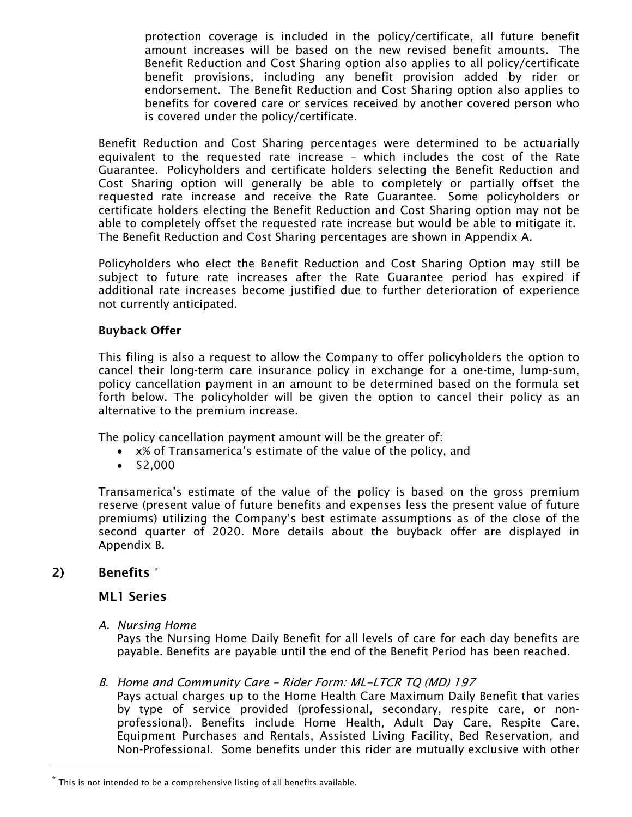protection coverage is included in the policy/certificate, all future benefit amount increases will be based on the new revised benefit amounts. The Benefit Reduction and Cost Sharing option also applies to all policy/certificate benefit provisions, including any benefit provision added by rider or endorsement. The Benefit Reduction and Cost Sharing option also applies to benefits for covered care or services received by another covered person who is covered under the policy/certificate.

Benefit Reduction and Cost Sharing percentages were determined to be actuarially equivalent to the requested rate increase – which includes the cost of the Rate Guarantee. Policyholders and certificate holders selecting the Benefit Reduction and Cost Sharing option will generally be able to completely or partially offset the requested rate increase and receive the Rate Guarantee. Some policyholders or certificate holders electing the Benefit Reduction and Cost Sharing option may not be able to completely offset the requested rate increase but would be able to mitigate it. The Benefit Reduction and Cost Sharing percentages are shown in Appendix A.

Policyholders who elect the Benefit Reduction and Cost Sharing Option may still be subject to future rate increases after the Rate Guarantee period has expired if additional rate increases become justified due to further deterioration of experience not currently anticipated.

#### Buyback Offer

This filing is also a request to allow the Company to offer policyholders the option to cancel their long-term care insurance policy in exchange for a one-time, lump-sum, policy cancellation payment in an amount to be determined based on the formula set forth below. The policyholder will be given the option to cancel their policy as an alternative to the premium increase.

The policy cancellation payment amount will be the greater of:

- x% of Transamerica's estimate of the value of the policy, and
- $•$  \$2,000

Transamerica's estimate of the value of the policy is based on the gross premium reserve (present value of future benefits and expenses less the present value of future premiums) utilizing the Company's best estimate assumptions as of the close of the second quarter of 2020. More details about the buyback offer are displayed in Appendix B.

## 2) Benefits \*

Ĩ.

#### ML1 Series

*A. Nursing Home*

Pays the Nursing Home Daily Benefit for all levels of care for each day benefits are payable. Benefits are payable until the end of the Benefit Period has been reached.

#### B. *Home and Community Care –* Rider Form: ML-LTCR TQ (MD) 197

Pays actual charges up to the Home Health Care Maximum Daily Benefit that varies by type of service provided (professional, secondary, respite care, or nonprofessional). Benefits include Home Health, Adult Day Care, Respite Care, Equipment Purchases and Rentals, Assisted Living Facility, Bed Reservation, and Non-Professional. Some benefits under this rider are mutually exclusive with other

 $^*$  This is not intended to be a comprehensive listing of all benefits available.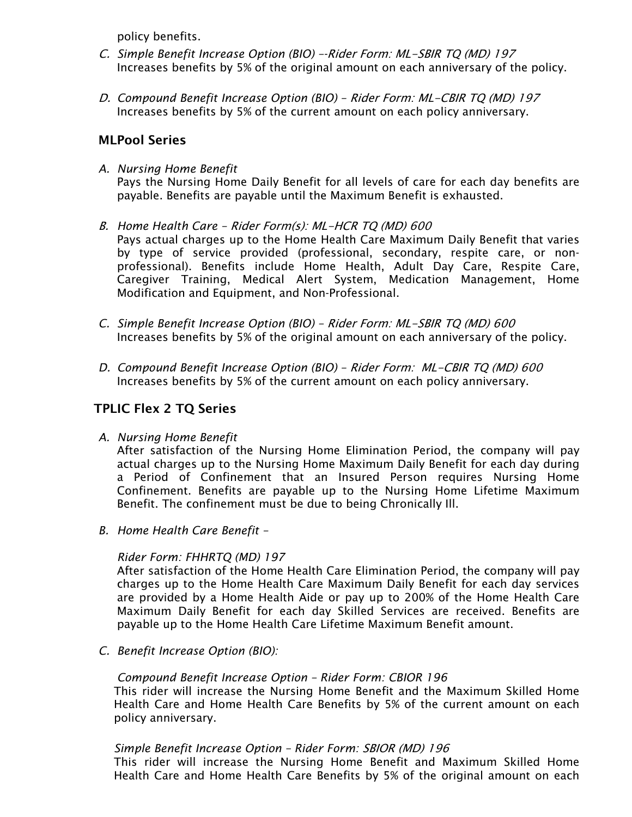policy benefits.

- C. *Simple Benefit Increase Option (BIO) –-*Rider Form: ML-SBIR TQ (MD) 197 Increases benefits by 5% of the original amount on each anniversary of the policy.
- D. *Compound Benefit Increase Option (BIO) –* Rider Form: ML-CBIR TQ (MD) 197 Increases benefits by 5% of the current amount on each policy anniversary.

## MLPool Series

- *A. Nursing Home Benefit* Pays the Nursing Home Daily Benefit for all levels of care for each day benefits are payable. Benefits are payable until the Maximum Benefit is exhausted.
- B. *Home Health Care –* Rider Form(s): ML-HCR TQ (MD) 600 Pays actual charges up to the Home Health Care Maximum Daily Benefit that varies by type of service provided (professional, secondary, respite care, or nonprofessional). Benefits include Home Health, Adult Day Care, Respite Care, Caregiver Training, Medical Alert System, Medication Management, Home Modification and Equipment, and Non-Professional.
- *C. Simple Benefit Increase Option (BIO) –* Rider Form: ML-SBIR TQ (MD) 600 Increases benefits by 5% of the original amount on each anniversary of the policy.
- *D. Compound Benefit Increase Option (BIO) –* Rider Form: ML-CBIR TQ (MD) 600 Increases benefits by 5% of the current amount on each policy anniversary.

## TPLIC Flex 2 TQ Series

*A. Nursing Home Benefit*

After satisfaction of the Nursing Home Elimination Period, the company will pay actual charges up to the Nursing Home Maximum Daily Benefit for each day during a Period of Confinement that an Insured Person requires Nursing Home Confinement. Benefits are payable up to the Nursing Home Lifetime Maximum Benefit. The confinement must be due to being Chronically Ill.

*B. Home Health Care Benefit –*

## *Rider Form: FHHRTQ (MD) 197*

After satisfaction of the Home Health Care Elimination Period, the company will pay charges up to the Home Health Care Maximum Daily Benefit for each day services are provided by a Home Health Aide or pay up to 200% of the Home Health Care Maximum Daily Benefit for each day Skilled Services are received. Benefits are payable up to the Home Health Care Lifetime Maximum Benefit amount.

*C. Benefit Increase Option (BIO):*

#### *Compound Benefit Increase Option – Rider Form: CBIOR 196*

This rider will increase the Nursing Home Benefit and the Maximum Skilled Home Health Care and Home Health Care Benefits by 5% of the current amount on each policy anniversary.

## *Simple Benefit Increase Option – Rider Form:* SBIOR (MD) 196

This rider will increase the Nursing Home Benefit and Maximum Skilled Home Health Care and Home Health Care Benefits by 5% of the original amount on each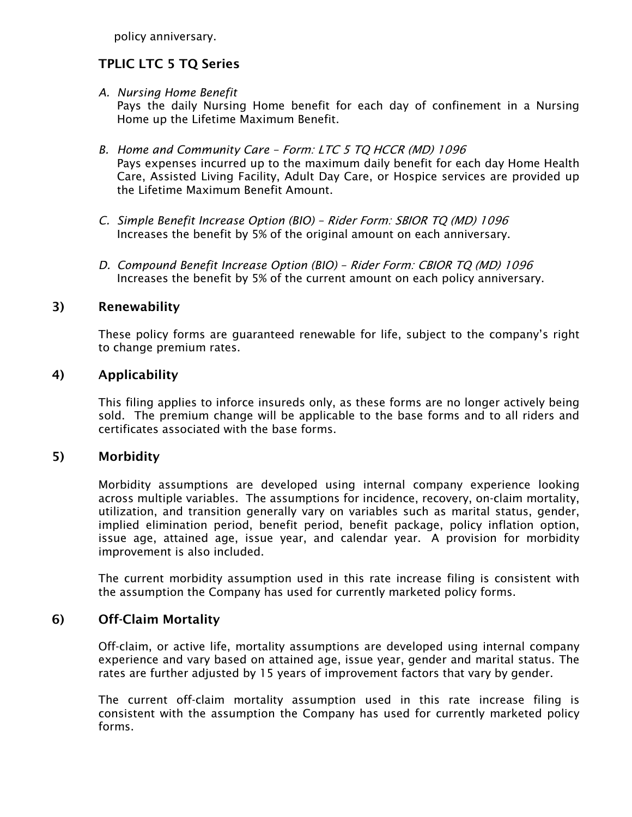policy anniversary.

## TPLIC LTC 5 TQ Series

*A. Nursing Home Benefit*

Pays the daily Nursing Home benefit for each day of confinement in a Nursing Home up the Lifetime Maximum Benefit.

- *B. Home and Community Care –* Form: LTC 5 TQ HCCR (MD) 1096 Pays expenses incurred up to the maximum daily benefit for each day Home Health Care, Assisted Living Facility, Adult Day Care, or Hospice services are provided up the Lifetime Maximum Benefit Amount.
- *C. Simple Benefit Increase Option (BIO) –* Rider Form: SBIOR TQ (MD) 1096 Increases the benefit by 5% of the original amount on each anniversary.
- *D. Compound Benefit Increase Option (BIO) –* Rider Form: CBIOR TQ (MD) 1096 Increases the benefit by 5% of the current amount on each policy anniversary.

## 3) Renewability

These policy forms are guaranteed renewable for life, subject to the company's right to change premium rates.

## 4) Applicability

This filing applies to inforce insureds only, as these forms are no longer actively being sold. The premium change will be applicable to the base forms and to all riders and certificates associated with the base forms.

## 5) Morbidity

Morbidity assumptions are developed using internal company experience looking across multiple variables. The assumptions for incidence, recovery, on-claim mortality, utilization, and transition generally vary on variables such as marital status, gender, implied elimination period, benefit period, benefit package, policy inflation option, issue age, attained age, issue year, and calendar year. A provision for morbidity improvement is also included.

The current morbidity assumption used in this rate increase filing is consistent with the assumption the Company has used for currently marketed policy forms.

## 6) Off-Claim Mortality

Off-claim, or active life, mortality assumptions are developed using internal company experience and vary based on attained age, issue year, gender and marital status. The rates are further adjusted by 15 years of improvement factors that vary by gender.

The current off-claim mortality assumption used in this rate increase filing is consistent with the assumption the Company has used for currently marketed policy forms.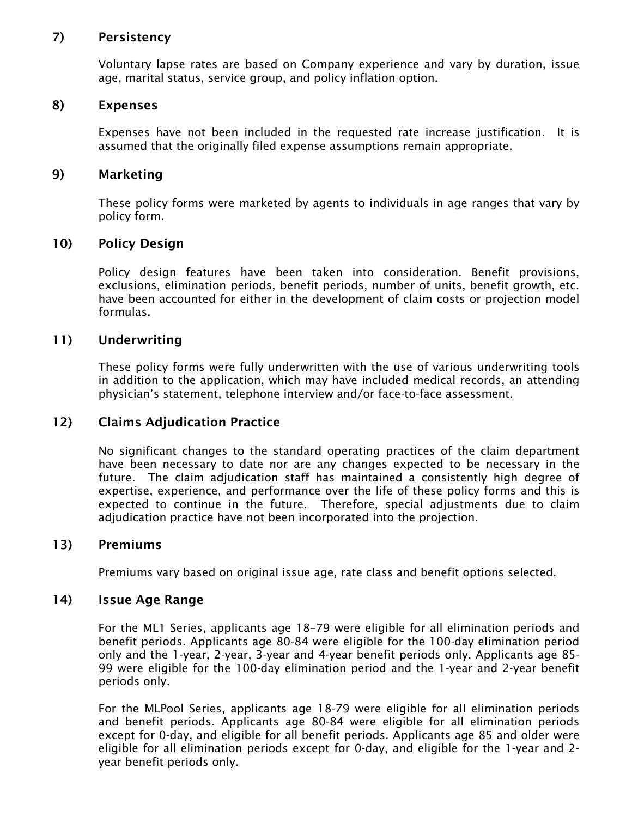#### 7) Persistency

Voluntary lapse rates are based on Company experience and vary by duration, issue age, marital status, service group, and policy inflation option.

#### 8) Expenses

Expenses have not been included in the requested rate increase justification. It is assumed that the originally filed expense assumptions remain appropriate.

#### 9) Marketing

These policy forms were marketed by agents to individuals in age ranges that vary by policy form.

#### 10) Policy Design

Policy design features have been taken into consideration. Benefit provisions, exclusions, elimination periods, benefit periods, number of units, benefit growth, etc. have been accounted for either in the development of claim costs or projection model formulas.

#### 11) Underwriting

These policy forms were fully underwritten with the use of various underwriting tools in addition to the application, which may have included medical records, an attending physician's statement, telephone interview and/or face-to-face assessment.

#### 12) Claims Adjudication Practice

No significant changes to the standard operating practices of the claim department have been necessary to date nor are any changes expected to be necessary in the future. The claim adjudication staff has maintained a consistently high degree of expertise, experience, and performance over the life of these policy forms and this is expected to continue in the future. Therefore, special adjustments due to claim adjudication practice have not been incorporated into the projection.

#### 13) Premiums

Premiums vary based on original issue age, rate class and benefit options selected.

#### 14) Issue Age Range

For the ML1 Series, applicants age 18–79 were eligible for all elimination periods and benefit periods. Applicants age 80-84 were eligible for the 100-day elimination period only and the 1-year, 2-year, 3-year and 4-year benefit periods only. Applicants age 85- 99 were eligible for the 100-day elimination period and the 1-year and 2-year benefit periods only.

For the MLPool Series, applicants age 18-79 were eligible for all elimination periods and benefit periods. Applicants age 80-84 were eligible for all elimination periods except for 0-day, and eligible for all benefit periods. Applicants age 85 and older were eligible for all elimination periods except for 0-day, and eligible for the 1-year and 2 year benefit periods only.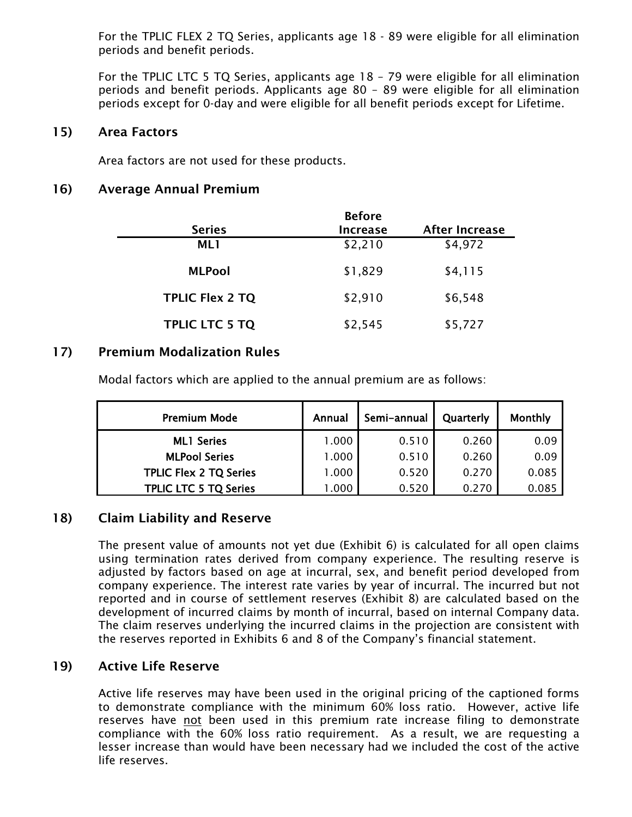For the TPLIC FLEX 2 TQ Series, applicants age 18 - 89 were eligible for all elimination periods and benefit periods.

For the TPLIC LTC 5 TQ Series, applicants age 18 – 79 were eligible for all elimination periods and benefit periods. Applicants age 80 – 89 were eligible for all elimination periods except for 0-day and were eligible for all benefit periods except for Lifetime.

#### 15) Area Factors

Area factors are not used for these products.

## 16) Average Annual Premium

|                        | <b>Before</b>   |                       |
|------------------------|-----------------|-----------------------|
| <b>Series</b>          | <b>Increase</b> | <b>After Increase</b> |
| ML1                    | \$2,210         | \$4,972               |
| <b>MLPool</b>          | \$1,829         | \$4,115               |
| <b>TPLIC Flex 2 TQ</b> | \$2,910         | \$6,548               |
| <b>TPLIC LTC 5 TQ</b>  | \$2,545         | \$5,727               |

## 17) Premium Modalization Rules

Modal factors which are applied to the annual premium are as follows:

| <b>Premium Mode</b>           | Annual | Semi-annual | Quarterly | Monthly |
|-------------------------------|--------|-------------|-----------|---------|
| <b>ML1 Series</b>             | 1.000  | 0.510       | 0.260     | 0.09    |
| <b>MLPool Series</b>          | 1.000  | 0.510       | 0.260     | 0.09    |
| <b>TPLIC Flex 2 TQ Series</b> | 1.000  | 0.520       | 0.270     | 0.085   |
| <b>TPLIC LTC 5 TQ Series</b>  | .000   | 0.520       | 0.270     | 0.085   |

## 18) Claim Liability and Reserve

The present value of amounts not yet due (Exhibit 6) is calculated for all open claims using termination rates derived from company experience. The resulting reserve is adjusted by factors based on age at incurral, sex, and benefit period developed from company experience. The interest rate varies by year of incurral. The incurred but not reported and in course of settlement reserves (Exhibit 8) are calculated based on the development of incurred claims by month of incurral, based on internal Company data. The claim reserves underlying the incurred claims in the projection are consistent with the reserves reported in Exhibits 6 and 8 of the Company's financial statement.

## 19) Active Life Reserve

Active life reserves may have been used in the original pricing of the captioned forms to demonstrate compliance with the minimum 60% loss ratio. However, active life reserves have not been used in this premium rate increase filing to demonstrate compliance with the 60% loss ratio requirement. As a result, we are requesting a lesser increase than would have been necessary had we included the cost of the active life reserves.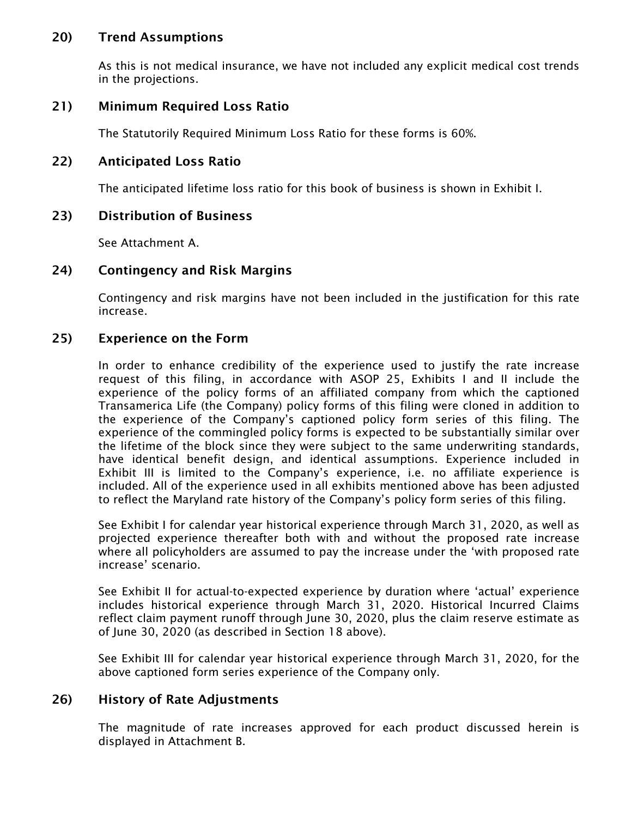## 20) Trend Assumptions

As this is not medical insurance, we have not included any explicit medical cost trends in the projections.

## 21) Minimum Required Loss Ratio

The Statutorily Required Minimum Loss Ratio for these forms is 60%.

## 22) Anticipated Loss Ratio

The anticipated lifetime loss ratio for this book of business is shown in Exhibit I.

## 23) Distribution of Business

See Attachment A.

## 24) Contingency and Risk Margins

Contingency and risk margins have not been included in the justification for this rate increase.

## 25) Experience on the Form

In order to enhance credibility of the experience used to justify the rate increase request of this filing, in accordance with ASOP 25, Exhibits I and II include the experience of the policy forms of an affiliated company from which the captioned Transamerica Life (the Company) policy forms of this filing were cloned in addition to the experience of the Company's captioned policy form series of this filing. The experience of the commingled policy forms is expected to be substantially similar over the lifetime of the block since they were subject to the same underwriting standards, have identical benefit design, and identical assumptions. Experience included in Exhibit III is limited to the Company's experience, i.e. no affiliate experience is included. All of the experience used in all exhibits mentioned above has been adjusted to reflect the Maryland rate history of the Company's policy form series of this filing.

See Exhibit I for calendar year historical experience through March 31, 2020, as well as projected experience thereafter both with and without the proposed rate increase where all policyholders are assumed to pay the increase under the 'with proposed rate increase' scenario.

See Exhibit II for actual-to-expected experience by duration where 'actual' experience includes historical experience through March 31, 2020. Historical Incurred Claims reflect claim payment runoff through June 30, 2020, plus the claim reserve estimate as of June 30, 2020 (as described in Section 18 above).

See Exhibit III for calendar year historical experience through March 31, 2020, for the above captioned form series experience of the Company only.

## 26) History of Rate Adjustments

The magnitude of rate increases approved for each product discussed herein is displayed in Attachment B.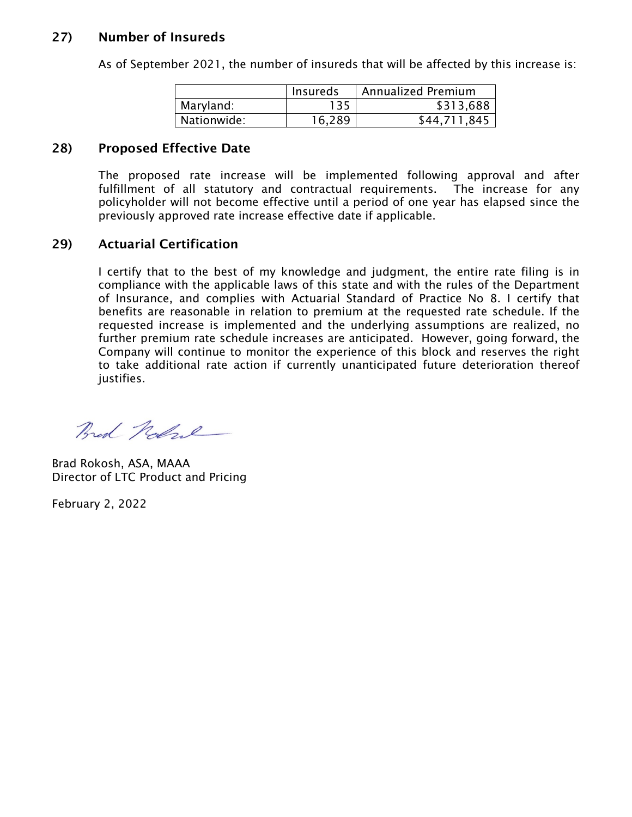## 27) Number of Insureds

|             | Insureds | <b>Annualized Premium</b> |
|-------------|----------|---------------------------|
| Maryland:   | 135      | \$313,688                 |
| Nationwide: | 16.289   | \$44,711,845              |

As of September 2021, the number of insureds that will be affected by this increase is:

## 28) Proposed Effective Date

The proposed rate increase will be implemented following approval and after fulfillment of all statutory and contractual requirements. The increase for any policyholder will not become effective until a period of one year has elapsed since the previously approved rate increase effective date if applicable.

## 29) Actuarial Certification

I certify that to the best of my knowledge and judgment, the entire rate filing is in compliance with the applicable laws of this state and with the rules of the Department of Insurance, and complies with Actuarial Standard of Practice No 8. I certify that benefits are reasonable in relation to premium at the requested rate schedule. If the requested increase is implemented and the underlying assumptions are realized, no further premium rate schedule increases are anticipated. However, going forward, the Company will continue to monitor the experience of this block and reserves the right to take additional rate action if currently unanticipated future deterioration thereof justifies.

Bred Robert

Brad Rokosh, ASA, MAAA Director of LTC Product and Pricing

February 2, 2022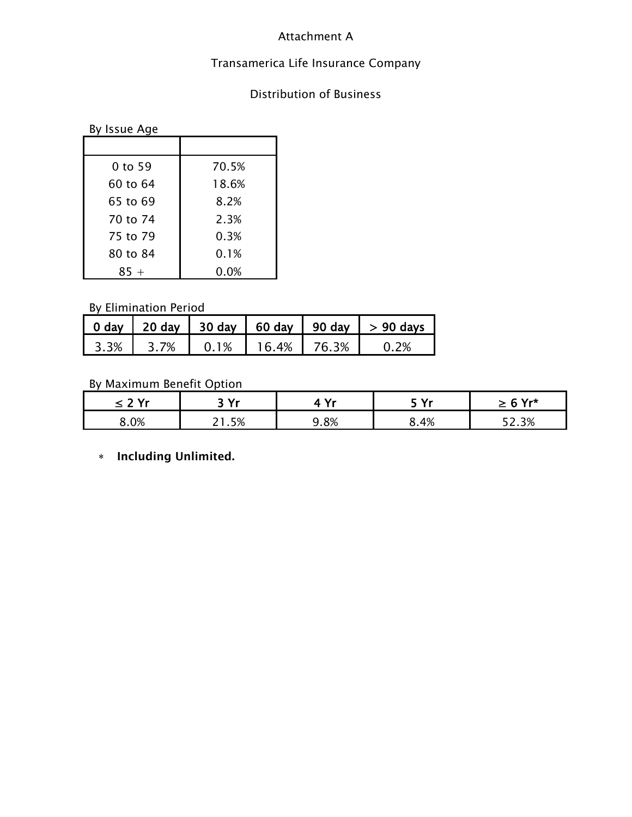## Attachment A

## Transamerica Life Insurance Company

## Distribution of Business

| By Issue Age |       |
|--------------|-------|
|              |       |
| 0 to 59      | 70.5% |
| 60 to 64     | 18.6% |
| 65 to 69     | 8.2%  |
| 70 to 74     | 2.3%  |
| 75 to 79     | 0.3%  |
| 80 to 84     | 0.1%  |
| $85 +$       | 0.0%  |

## By Elimination Period

|      | 0 day   20 day   30 day |      | 60 day   90 day |       | $> 90$ days |
|------|-------------------------|------|-----------------|-------|-------------|
| 3.3% | 3.7 <sup>%</sup>        | 0.1% | 16.4%           | 76.3% | 0.2%        |

## By Maximum Benefit Option

| .v. | っぴょ | v.  | T Vr | $6Yr*$<br>_ |
|-----|-----|-----|------|-------------|
| 0%  | 5%  | .8% | .4%  | 3%          |

∗ Including Unlimited.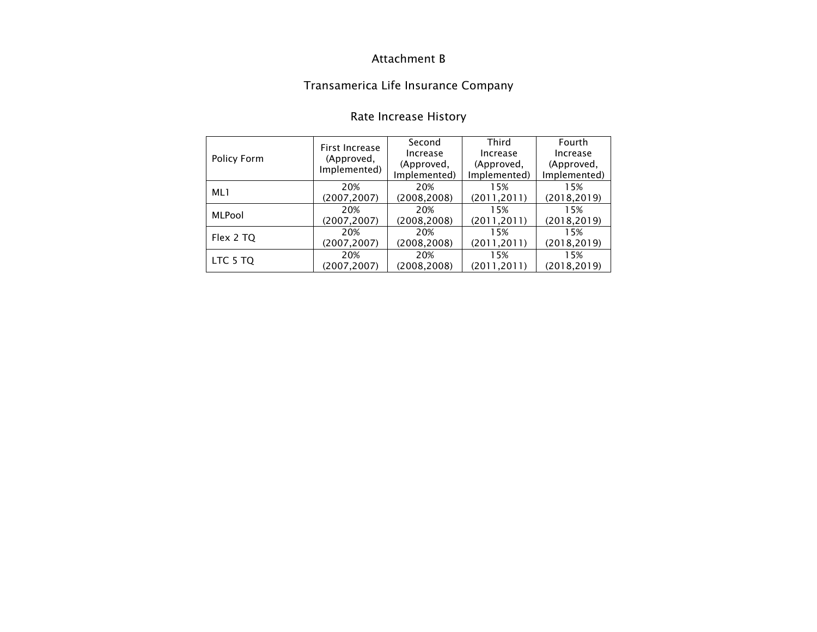## Attachment B

# Transamerica Life Insurance Company

|               | First Increase | Second       | Third        | Fourth       |
|---------------|----------------|--------------|--------------|--------------|
| Policy Form   | (Approved,     | Increase     | Increase     | Increase     |
|               | Implemented)   | (Approved,   | (Approved,   | (Approved,   |
|               |                | Implemented) | Implemented) | Implemented) |
| ML1           | 20%            | 20%          | 15%          | 15%          |
|               | (2007, 2007)   | (2008, 2008) | (2011, 2011) | (2018, 2019) |
| <b>MLPool</b> | 20%            | 20%          | 15%          | 15%          |
|               | (2007, 2007)   | (2008,2008)  | (2011, 2011) | (2018, 2019) |
|               | 20%            | 20%          | 15%          | 15%          |
| Flex 2 TQ     | (2007, 2007)   | (2008, 2008) | (2011, 2011) | (2018, 2019) |
|               | 20%            | 20%          | 15%          | 15%          |
| LTC 5 TQ      | (2007, 2007)   | (2008,2008)  | (2011, 2011) | (2018, 2019) |

# Rate Increase History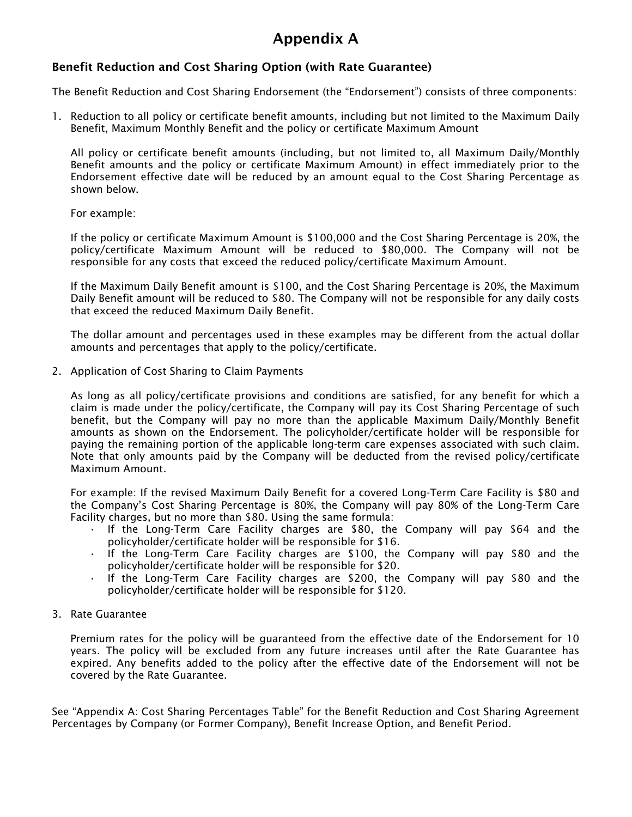# Appendix A

#### Benefit Reduction and Cost Sharing Option (with Rate Guarantee)

The Benefit Reduction and Cost Sharing Endorsement (the "Endorsement") consists of three components:

1. Reduction to all policy or certificate benefit amounts, including but not limited to the Maximum Daily Benefit, Maximum Monthly Benefit and the policy or certificate Maximum Amount

All policy or certificate benefit amounts (including, but not limited to, all Maximum Daily/Monthly Benefit amounts and the policy or certificate Maximum Amount) in effect immediately prior to the Endorsement effective date will be reduced by an amount equal to the Cost Sharing Percentage as shown below.

For example:

If the policy or certificate Maximum Amount is \$100,000 and the Cost Sharing Percentage is 20%, the policy/certificate Maximum Amount will be reduced to \$80,000. The Company will not be responsible for any costs that exceed the reduced policy/certificate Maximum Amount.

If the Maximum Daily Benefit amount is \$100, and the Cost Sharing Percentage is 20%, the Maximum Daily Benefit amount will be reduced to \$80. The Company will not be responsible for any daily costs that exceed the reduced Maximum Daily Benefit.

The dollar amount and percentages used in these examples may be different from the actual dollar amounts and percentages that apply to the policy/certificate.

2. Application of Cost Sharing to Claim Payments

As long as all policy/certificate provisions and conditions are satisfied, for any benefit for which a claim is made under the policy/certificate, the Company will pay its Cost Sharing Percentage of such benefit, but the Company will pay no more than the applicable Maximum Daily/Monthly Benefit amounts as shown on the Endorsement. The policyholder/certificate holder will be responsible for paying the remaining portion of the applicable long-term care expenses associated with such claim. Note that only amounts paid by the Company will be deducted from the revised policy/certificate Maximum Amount.

For example: If the revised Maximum Daily Benefit for a covered Long-Term Care Facility is \$80 and the Company's Cost Sharing Percentage is 80%, the Company will pay 80% of the Long-Term Care Facility charges, but no more than \$80. Using the same formula:

- If the Long-Term Care Facility charges are \$80, the Company will pay \$64 and the policyholder/certificate holder will be responsible for \$16.
- If the Long-Term Care Facility charges are \$100, the Company will pay \$80 and the policyholder/certificate holder will be responsible for \$20.
- If the Long-Term Care Facility charges are \$200, the Company will pay \$80 and the policyholder/certificate holder will be responsible for \$120.
- 3. Rate Guarantee

Premium rates for the policy will be guaranteed from the effective date of the Endorsement for 10 years. The policy will be excluded from any future increases until after the Rate Guarantee has expired. Any benefits added to the policy after the effective date of the Endorsement will not be covered by the Rate Guarantee.

See "Appendix A: Cost Sharing Percentages Table" for the Benefit Reduction and Cost Sharing Agreement Percentages by Company (or Former Company), Benefit Increase Option, and Benefit Period.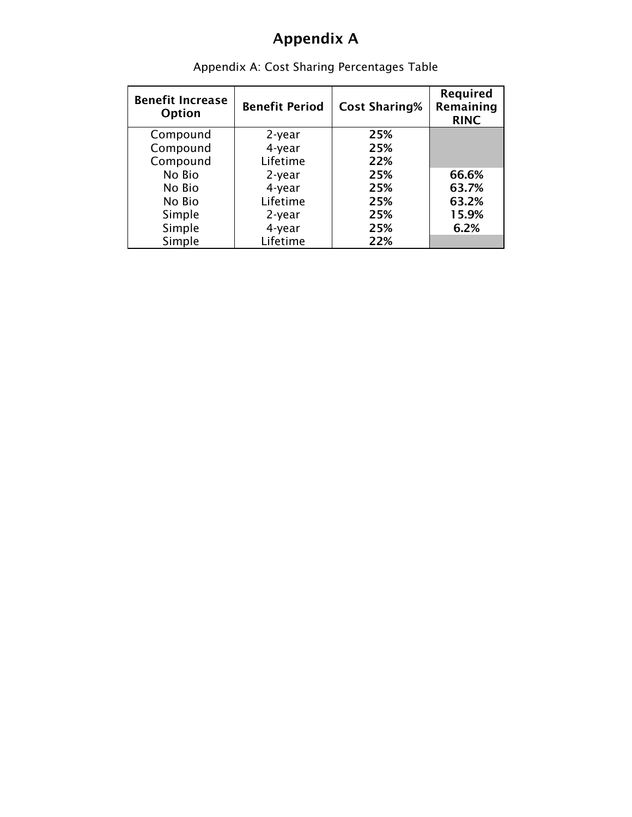# Appendix A

| <b>Benefit Increase</b><br>Option | <b>Benefit Period</b> | <b>Cost Sharing%</b> | Required<br>Remaining<br><b>RINC</b> |
|-----------------------------------|-----------------------|----------------------|--------------------------------------|
| Compound                          | 2-year                | 25%                  |                                      |
| Compound                          | 4-year                | 25%                  |                                      |
| Compound                          | Lifetime              | 22%                  |                                      |
| No Bio                            | 2-year                | 25%                  | 66.6%                                |
| No Bio                            | 4-year                | 25%                  | 63.7%                                |
| No Bio                            | Lifetime              | 25%                  | 63.2%                                |
| Simple                            | 2-year                | 25%                  | 15.9%                                |
| Simple                            | 4-year                | 25%                  | 6.2%                                 |
| Simple                            | Lifetime              | 22%                  |                                      |

Appendix A: Cost Sharing Percentages Table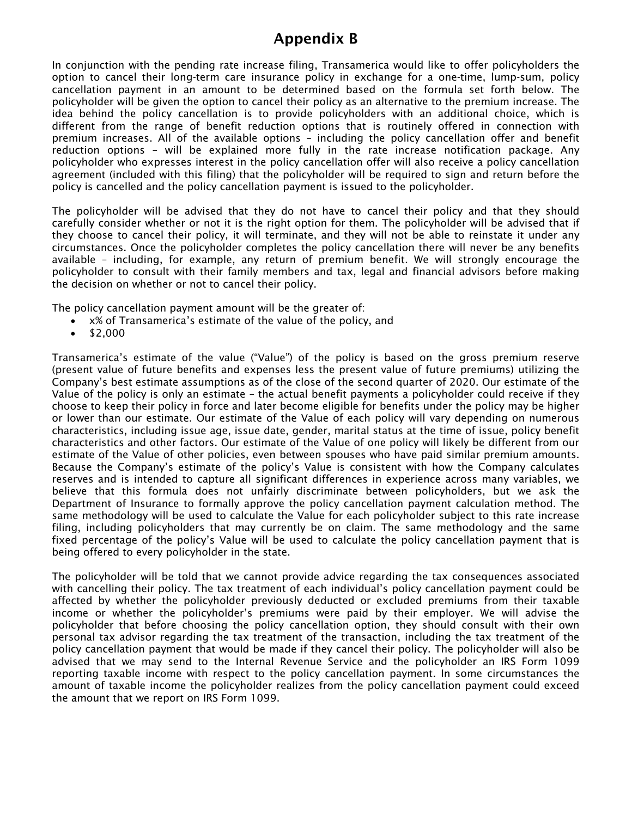## Appendix B

In conjunction with the pending rate increase filing, Transamerica would like to offer policyholders the option to cancel their long-term care insurance policy in exchange for a one-time, lump-sum, policy cancellation payment in an amount to be determined based on the formula set forth below. The policyholder will be given the option to cancel their policy as an alternative to the premium increase. The idea behind the policy cancellation is to provide policyholders with an additional choice, which is different from the range of benefit reduction options that is routinely offered in connection with premium increases. All of the available options – including the policy cancellation offer and benefit reduction options – will be explained more fully in the rate increase notification package. Any policyholder who expresses interest in the policy cancellation offer will also receive a policy cancellation agreement (included with this filing) that the policyholder will be required to sign and return before the policy is cancelled and the policy cancellation payment is issued to the policyholder.

The policyholder will be advised that they do not have to cancel their policy and that they should carefully consider whether or not it is the right option for them. The policyholder will be advised that if they choose to cancel their policy, it will terminate, and they will not be able to reinstate it under any circumstances. Once the policyholder completes the policy cancellation there will never be any benefits available – including, for example, any return of premium benefit. We will strongly encourage the policyholder to consult with their family members and tax, legal and financial advisors before making the decision on whether or not to cancel their policy.

The policy cancellation payment amount will be the greater of:

- x% of Transamerica's estimate of the value of the policy, and
- $\bullet$  \$2,000

Transamerica's estimate of the value ("Value") of the policy is based on the gross premium reserve (present value of future benefits and expenses less the present value of future premiums) utilizing the Company's best estimate assumptions as of the close of the second quarter of 2020. Our estimate of the Value of the policy is only an estimate – the actual benefit payments a policyholder could receive if they choose to keep their policy in force and later become eligible for benefits under the policy may be higher or lower than our estimate. Our estimate of the Value of each policy will vary depending on numerous characteristics, including issue age, issue date, gender, marital status at the time of issue, policy benefit characteristics and other factors. Our estimate of the Value of one policy will likely be different from our estimate of the Value of other policies, even between spouses who have paid similar premium amounts. Because the Company's estimate of the policy's Value is consistent with how the Company calculates reserves and is intended to capture all significant differences in experience across many variables, we believe that this formula does not unfairly discriminate between policyholders, but we ask the Department of Insurance to formally approve the policy cancellation payment calculation method. The same methodology will be used to calculate the Value for each policyholder subject to this rate increase filing, including policyholders that may currently be on claim. The same methodology and the same fixed percentage of the policy's Value will be used to calculate the policy cancellation payment that is being offered to every policyholder in the state.

The policyholder will be told that we cannot provide advice regarding the tax consequences associated with cancelling their policy. The tax treatment of each individual's policy cancellation payment could be affected by whether the policyholder previously deducted or excluded premiums from their taxable income or whether the policyholder's premiums were paid by their employer. We will advise the policyholder that before choosing the policy cancellation option, they should consult with their own personal tax advisor regarding the tax treatment of the transaction, including the tax treatment of the policy cancellation payment that would be made if they cancel their policy. The policyholder will also be advised that we may send to the Internal Revenue Service and the policyholder an IRS Form 1099 reporting taxable income with respect to the policy cancellation payment. In some circumstances the amount of taxable income the policyholder realizes from the policy cancellation payment could exceed the amount that we report on IRS Form 1099.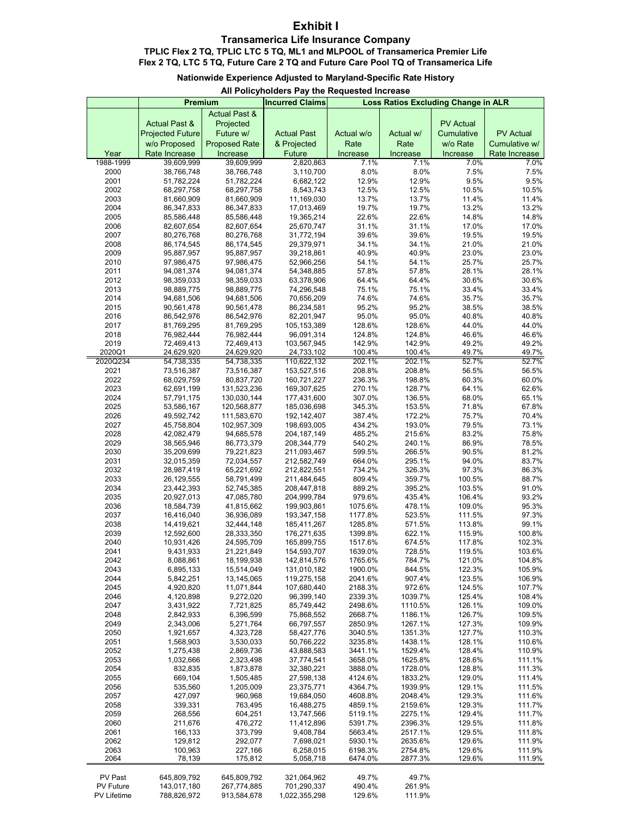#### **Exhibit I**

#### **Transamerica Life Insurance Company**

**TPLIC Flex 2 TQ, TPLIC LTC 5 TQ, ML1 and MLPOOL of Transamerica Premier Life Flex 2 TQ, LTC 5 TQ, Future Care 2 TQ and Future Care Pool TQ of Transamerica Life**

#### **Nationwide Experience Adjusted to Maryland-Specific Rate History**

#### **All Policyholders Pay the Requested Increase**

|                    | Premium                  |                           | <b>Incurred Claims</b>       | Loss Ratios Excluding Change in ALR |                    |                  |                  |
|--------------------|--------------------------|---------------------------|------------------------------|-------------------------------------|--------------------|------------------|------------------|
|                    |                          | <b>Actual Past &amp;</b>  |                              |                                     |                    |                  |                  |
|                    | <b>Actual Past &amp;</b> | Projected                 |                              |                                     |                    | <b>PV Actual</b> |                  |
|                    | <b>Projected Future</b>  | Future w/                 | <b>Actual Past</b>           | Actual w/o                          | Actual w/          | Cumulative       | <b>PV Actual</b> |
|                    | w/o Proposed             | <b>Proposed Rate</b>      | & Projected                  | Rate                                | Rate               | w/o Rate         | Cumulative w/    |
| Year               | Rate Increase            | Increase                  | Future                       | Increase                            | Increase           | Increase         | Rate Increase    |
| 1988-1999<br>2000  | 39,609,999<br>38,766,748 | 39,609,999<br>38,766,748  | 2,820,863<br>3,110,700       | 7.1%<br>8.0%                        | 7.1%<br>8.0%       | 7.0%<br>7.5%     | 7.0%<br>7.5%     |
| 2001               | 51,782,224               | 51,782,224                | 6,682,122                    | 12.9%                               | 12.9%              | 9.5%             | 9.5%             |
| 2002               | 68,297,758               | 68,297,758                | 8,543,743                    | 12.5%                               | 12.5%              | 10.5%            | 10.5%            |
| 2003               | 81,660,909               | 81,660,909                | 11,169,030                   | 13.7%                               | 13.7%              | 11.4%            | 11.4%            |
| 2004               | 86,347,833               | 86,347,833                | 17,013,469                   | 19.7%                               | 19.7%              | 13.2%            | 13.2%            |
| 2005               | 85,586,448               | 85,586,448                | 19,365,214                   | 22.6%                               | 22.6%              | 14.8%            | 14.8%            |
| 2006               | 82,607,654               | 82,607,654                | 25,670,747                   | 31.1%                               | 31.1%              | 17.0%            | 17.0%            |
| 2007               | 80,276,768               | 80,276,768                | 31,772,194                   | 39.6%                               | 39.6%              | 19.5%            | 19.5%            |
| 2008<br>2009       | 86,174,545               | 86,174,545                | 29,379,971                   | 34.1%                               | 34.1%              | 21.0%            | 21.0%            |
| 2010               | 95,887,957<br>97,986,475 | 95,887,957<br>97,986,475  | 39,218,861<br>52,966,256     | 40.9%<br>54.1%                      | 40.9%<br>54.1%     | 23.0%<br>25.7%   | 23.0%<br>25.7%   |
| 2011               | 94,081,374               | 94,081,374                | 54,348,885                   | 57.8%                               | 57.8%              | 28.1%            | 28.1%            |
| 2012               | 98,359,033               | 98,359,033                | 63,378,906                   | 64.4%                               | 64.4%              | 30.6%            | 30.6%            |
| 2013               | 98,889,775               | 98,889,775                | 74,296,548                   | 75.1%                               | 75.1%              | 33.4%            | 33.4%            |
| 2014               | 94,681,506               | 94,681,506                | 70,656,209                   | 74.6%                               | 74.6%              | 35.7%            | 35.7%            |
| 2015               | 90,561,478               | 90,561,478                | 86,234,581                   | 95.2%                               | 95.2%              | 38.5%            | 38.5%            |
| 2016               | 86,542,976               | 86,542,976                | 82,201,947                   | 95.0%                               | 95.0%              | 40.8%            | 40.8%            |
| 2017               | 81,769,295               | 81,769,295                | 105, 153, 389                | 128.6%                              | 128.6%             | 44.0%            | 44.0%            |
| 2018               | 76,982,444               | 76,982,444                | 96,091,314                   | 124.8%                              | 124.8%             | 46.6%            | 46.6%            |
| 2019<br>2020Q1     | 72,469,413<br>24,629,920 | 72,469,413<br>24,629,920  | 103,567,945<br>24,733,102    | 142.9%<br>100.4%                    | 142.9%<br>100.4%   | 49.2%<br>49.7%   | 49.2%<br>49.7%   |
| 2020Q234           | 54,738,335               | 54,738,335                | 110,622,132                  | 202.1%                              | 202.1%             | 52.7%            | 52.7%            |
| 2021               | 73,516,387               | 73,516,387                | 153,527,516                  | 208.8%                              | 208.8%             | 56.5%            | 56.5%            |
| 2022               | 68,029,759               | 80,837,720                | 160,721,227                  | 236.3%                              | 198.8%             | 60.3%            | 60.0%            |
| 2023               | 62,691,199               | 131,523,236               | 169,307,625                  | 270.1%                              | 128.7%             | 64.1%            | 62.6%            |
| 2024               | 57,791,175               | 130,030,144               | 177,431,600                  | 307.0%                              | 136.5%             | 68.0%            | 65.1%            |
| 2025               | 53,586,167               | 120,568,877               | 185,036,698                  | 345.3%                              | 153.5%             | 71.8%            | 67.8%            |
| 2026               | 49,592,742               | 111,583,670               | 192, 142, 407                | 387.4%                              | 172.2%             | 75.7%            | 70.4%            |
| 2027<br>2028       | 45,758,804<br>42,082,479 | 102,957,309<br>94,685,578 | 198,693,005                  | 434.2%<br>485.2%                    | 193.0%<br>215.6%   | 79.5%<br>83.2%   | 73.1%<br>75.8%   |
| 2029               | 38,565,946               | 86,773,379                | 204, 187, 149<br>208,344,779 | 540.2%                              | 240.1%             | 86.9%            | 78.5%            |
| 2030               | 35,209,699               | 79,221,823                | 211,093,467                  | 599.5%                              | 266.5%             | 90.5%            | 81.2%            |
| 2031               | 32,015,359               | 72,034,557                | 212,582,749                  | 664.0%                              | 295.1%             | 94.0%            | 83.7%            |
| 2032               | 28,987,419               | 65,221,692                | 212,822,551                  | 734.2%                              | 326.3%             | 97.3%            | 86.3%            |
| 2033               | 26,129,555               | 58,791,499                | 211,484,645                  | 809.4%                              | 359.7%             | 100.5%           | 88.7%            |
| 2034               | 23,442,393               | 52,745,385                | 208,447,818                  | 889.2%                              | 395.2%             | 103.5%           | 91.0%            |
| 2035               | 20,927,013               | 47,085,780                | 204,999,784                  | 979.6%                              | 435.4%             | 106.4%           | 93.2%            |
| 2036<br>2037       | 18,584,739               | 41,815,662                | 199,903,861                  | 1075.6%<br>1177.8%                  | 478.1%<br>523.5%   | 109.0%<br>111.5% | 95.3%<br>97.3%   |
| 2038               | 16,416,040<br>14,419,621 | 36,936,089<br>32,444,148  | 193,347,158<br>185,411,267   | 1285.8%                             | 571.5%             | 113.8%           | 99.1%            |
| 2039               | 12,592,600               | 28,333,350                | 176,271,635                  | 1399.8%                             | 622.1%             | 115.9%           | 100.8%           |
| 2040               | 10,931,426               | 24,595,709                | 165,899,755                  | 1517.6%                             | 674.5%             | 117.8%           | 102.3%           |
| 2041               | 9,431,933                | 21,221,849                | 154,593,707                  | 1639.0%                             | 728.5%             | 119.5%           | 103.6%           |
| 2042               | 8,088,861                | 18,199,938                | 142,814,576                  | 1765.6%                             | 784.7%             | 121.0%           | 104.8%           |
| 2043               | 6,895,133                | 15,514,049                | 131,010,182                  | 1900.0%                             | 844.5%             | 122.3%           | 105.9%           |
| 2044               | 5,842,251                | 13,145,065                | 119,275,158                  | 2041.6%                             | 907.4%             | 123.5%           | 106.9%           |
| 2045               | 4,920,820                | 11,071,844                | 107,680,440                  | 2188.3%                             | 972.6%             | 124.5%           | 107.7%           |
| 2046<br>2047       | 4,120,898<br>3,431,922   | 9,272,020<br>7,721,825    | 96,399,140<br>85,749,442     | 2339.3%<br>2498.6%                  | 1039.7%<br>1110.5% | 125.4%<br>126.1% | 108.4%<br>109.0% |
| 2048               | 2,842,933                | 6,396,599                 | 75,868,552                   | 2668.7%                             | 1186.1%            | 126.7%           | 109.5%           |
| 2049               | 2,343,006                | 5,271,764                 | 66,797,557                   | 2850.9%                             | 1267.1%            | 127.3%           | 109.9%           |
| 2050               | 1,921,657                | 4,323,728                 | 58,427,776                   | 3040.5%                             | 1351.3%            | 127.7%           | 110.3%           |
| 2051               | 1,568,903                | 3,530,033                 | 50,766,222                   | 3235.8%                             | 1438.1%            | 128.1%           | 110.6%           |
| 2052               | 1,275,438                | 2,869,736                 | 43,888,583                   | 3441.1%                             | 1529.4%            | 128.4%           | 110.9%           |
| 2053               | 1,032,666                | 2,323,498                 | 37,774,541                   | 3658.0%                             | 1625.8%            | 128.6%           | 111.1%           |
| 2054               | 832,835                  | 1,873,878                 | 32,380,221                   | 3888.0%                             | 1728.0%            | 128.8%           | 111.3%           |
| 2055               | 669,104                  | 1,505,485                 | 27,598,138                   | 4124.6%                             | 1833.2%            | 129.0%           | 111.4%           |
| 2056<br>2057       | 535,560<br>427,097       | 1,205,009<br>960,968      | 23,375,771<br>19,684,050     | 4364.7%<br>4608.8%                  | 1939.9%<br>2048.4% | 129.1%<br>129.3% | 111.5%<br>111.6% |
| 2058               | 339,331                  | 763,495                   | 16,488,275                   | 4859.1%                             | 2159.6%            | 129.3%           | 111.7%           |
| 2059               | 268,556                  | 604,251                   | 13,747,566                   | 5119.1%                             | 2275.1%            | 129.4%           | 111.7%           |
| 2060               | 211,676                  | 476,272                   | 11,412,896                   | 5391.7%                             | 2396.3%            | 129.5%           | 111.8%           |
| 2061               | 166,133                  | 373,799                   | 9,408,784                    | 5663.4%                             | 2517.1%            | 129.5%           | 111.8%           |
| 2062               | 129,812                  | 292,077                   | 7,698,021                    | 5930.1%                             | 2635.6%            | 129.6%           | 111.9%           |
| 2063               | 100,963                  | 227,166                   | 6,258,015                    | 6198.3%                             | 2754.8%            | 129.6%           | 111.9%           |
| 2064               | 78,139                   | 175,812                   | 5,058,718                    | 6474.0%                             | 2877.3%            | 129.6%           | 111.9%           |
| PV Past            | 645,809,792              | 645,809,792               | 321,064,962                  | 49.7%                               | 49.7%              |                  |                  |
| PV Future          | 143,017,180              | 267,774,885               | 701,290,337                  | 490.4%                              | 261.9%             |                  |                  |
| <b>PV Lifetime</b> | 788,826,972              | 913,584,678               | 1,022,355,298                | 129.6%                              | 111.9%             |                  |                  |
|                    |                          |                           |                              |                                     |                    |                  |                  |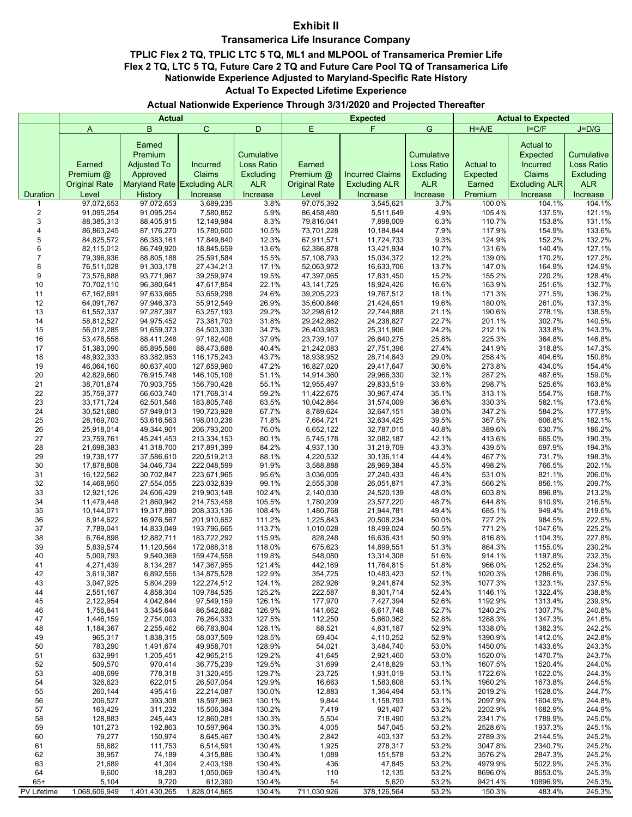#### **Exhibit II**

#### **Transamerica Life Insurance Company**

#### **TPLIC Flex 2 TQ, TPLIC LTC 5 TQ, ML1 and MLPOOL of Transamerica Premier Life Flex 2 TQ, LTC 5 TQ, Future Care 2 TQ and Future Care Pool TQ of Transamerica Life Actual To Expected Lifetime Experience Nationwide Experience Adjusted to Maryland-Specific Rate History**

#### **Actual Nationwide Experience Through 3/31/2020 and Projected Thereafter**

|                            |                          | <b>Actual</b>                           |                             |                          |                          | <b>Expected</b>          | <b>Actual to Expected</b> |                    |                                          |                          |
|----------------------------|--------------------------|-----------------------------------------|-----------------------------|--------------------------|--------------------------|--------------------------|---------------------------|--------------------|------------------------------------------|--------------------------|
|                            | A                        | B                                       | $\mathbf C$                 | D                        | E                        | F                        | G                         | $H = A/E$          | $I = C/F$                                | $J=D/G$                  |
|                            | Earned                   | Earned<br>Premium<br><b>Adjusted To</b> | Incurred                    | Cumulative<br>Loss Ratio | Earned                   |                          | Cumulative<br>Loss Ratio  | Actual to          | Actual to<br>Expected<br><b>Incurred</b> | Cumulative<br>Loss Ratio |
|                            | Premium @                | Approved                                | Claims                      | Excluding                | Premium @                | <b>Incurred Claims</b>   | Excluding                 | Expected           | Claims                                   | Excluding                |
|                            | <b>Original Rate</b>     |                                         | Maryland Rate Excluding ALR | <b>ALR</b>               | <b>Original Rate</b>     | <b>Excluding ALR</b>     | ALR                       | Earned             | <b>Excluding ALR</b>                     | <b>ALR</b>               |
| Duration                   | Level                    | History                                 | Increase                    | Increase                 | Level                    | Increase                 | Increase                  | Premium            | Increase                                 | Increase                 |
| 1                          | 97,072,653               | 97,072,653                              | 3,689,235                   | 3.8%                     | 97,075,392               | 3,545,621                | 3.7%                      | 100.0%             | 104.1%                                   | 104.1%                   |
| $\mathbf 2$<br>$\mathsf 3$ | 91,095,254               | 91,095,254                              | 7,580,852                   | 5.9%<br>8.3%             | 86,458,480               | 5,511,649<br>7,898,009   | 4.9%                      | 105.4%<br>110.7%   | 137.5%                                   | 121.1%                   |
| 4                          | 88,385,313<br>86,863,245 | 88,405,915<br>87,176,270                | 12,149,984<br>15,780,600    | 10.5%                    | 79,816,041<br>73,701,228 | 10,184,844               | 6.3%<br>7.9%              | 117.9%             | 153.8%<br>154.9%                         | 131.1%<br>133.6%         |
| 5                          | 84,825,572               | 86,383,161                              | 17,849,840                  | 12.3%                    | 67,911,571               | 11,724,733               | 9.3%                      | 124.9%             | 152.2%                                   | 132.2%                   |
| 6                          | 82,115,012               | 86,749,920                              | 18,845,659                  | 13.6%                    | 62,386,878               | 13,421,934               | 10.7%                     | 131.6%             | 140.4%                                   | 127.1%                   |
| $\overline{7}$             | 79,396,936               | 88,805,188                              | 25,591,584                  | 15.5%                    | 57,108,793               | 15,034,372               | 12.2%                     | 139.0%             | 170.2%                                   | 127.2%                   |
| 8<br>9                     | 76,511,028<br>73,576,888 | 91,303,178<br>93,771,967                | 27,434,213<br>39,259,974    | 17.1%<br>19.5%           | 52,063,972<br>47,397,065 | 16,633,706<br>17,831,450 | 13.7%<br>15.2%            | 147.0%<br>155.2%   | 164.9%<br>220.2%                         | 124.9%<br>128.4%         |
| 10                         | 70,702,110               | 96,380,641                              | 47,617,854                  | 22.1%                    | 43, 141, 725             | 18,924,426               | 16.6%                     | 163.9%             | 251.6%                                   | 132.7%                   |
| 11                         | 67,162,691               | 97,633,665                              | 53,659,298                  | 24.6%                    | 39,205,223               | 19,767,512               | 18.1%                     | 171.3%             | 271.5%                                   | 136.2%                   |
| 12                         | 64,091,767               | 97,946,373                              | 55,912,549                  | 26.9%                    | 35,600,846               | 21,424,651               | 19.6%                     | 180.0%             | 261.0%                                   | 137.3%                   |
| 13<br>14                   | 61,552,337<br>58,812,527 | 97,287,397<br>94,975,452                | 63,257,193<br>73,381,703    | 29.2%<br>31.8%           | 32,298,612<br>29,242,862 | 22,744,888<br>24,238,827 | 21.1%<br>22.7%            | 190.6%<br>201.1%   | 278.1%<br>302.7%                         | 138.5%<br>140.5%         |
| 15                         | 56,012,285               | 91,659,373                              | 84,503,330                  | 34.7%                    | 26,403,983               | 25,311,906               | 24.2%                     | 212.1%             | 333.8%                                   | 143.3%                   |
| 16                         | 53,478,558               | 88,411,248                              | 97,182,408                  | 37.9%                    | 23,739,107               | 26,640,275               | 25.8%                     | 225.3%             | 364.8%                                   | 146.8%                   |
| 17                         | 51,383,090               | 85,895,586                              | 88,473,688                  | 40.4%                    | 21,242,083               | 27,751,396               | 27.4%                     | 241.9%             | 318.8%                                   | 147.3%                   |
| 18                         | 48,932,333               | 83,382,953                              | 116, 175, 243               | 43.7%                    | 18,938,952               | 28,714,843               | 29.0%                     | 258.4%             | 404.6%                                   | 150.8%                   |
| 19<br>20                   | 46,064,160<br>42,829,660 | 80,637,400<br>76,915,748                | 127,659,960<br>146,105,108  | 47.2%<br>51.1%           | 16,827,020<br>14,914,360 | 29,417,647<br>29,966,330 | 30.6%<br>32.1%            | 273.8%<br>287.2%   | 434.0%<br>487.6%                         | 154.4%<br>159.0%         |
| 21                         | 38,701,874               | 70,903,755                              | 156,790,428                 | 55.1%                    | 12,955,497               | 29,833,519               | 33.6%                     | 298.7%             | 525.6%                                   | 163.8%                   |
| 22                         | 35,759,377               | 66,603,740                              | 171,768,314                 | 59.2%                    | 11,422,675               | 30,967,474               | 35.1%                     | 313.1%             | 554.7%                                   | 168.7%                   |
| 23                         | 33, 171, 724             | 62,501,546                              | 183,805,746                 | 63.5%                    | 10,042,864               | 31,574,009               | 36.6%                     | 330.3%             | 582.1%                                   | 173.6%                   |
| 24<br>25                   | 30,521,680               | 57,949,013<br>53,616,563                | 190,723,928<br>198,010,236  | 67.7%<br>71.8%           | 8,789,624<br>7,664,721   | 32,647,151<br>32,634,425 | 38.0%<br>39.5%            | 347.2%<br>367.5%   | 584.2%<br>606.8%                         | 177.9%<br>182.1%         |
| 26                         | 28,169,703<br>25,918,014 | 49,344,901                              | 206,793,200                 | 76.0%                    | 6,652,122                | 32,787,015               | 40.8%                     | 389.6%             | 630.7%                                   | 186.2%                   |
| 27                         | 23,759,761               | 45,241,453                              | 213,334,153                 | 80.1%                    | 5,745,178                | 32,082,187               | 42.1%                     | 413.6%             | 665.0%                                   | 190.3%                   |
| 28                         | 21,698,383               | 41,318,700                              | 217,891,399                 | 84.2%                    | 4,937,130                | 31,219,709               | 43.3%                     | 439.5%             | 697.9%                                   | 194.3%                   |
| 29                         | 19,738,177               | 37,586,610                              | 220,519,213                 | 88.1%                    | 4,220,532                | 30,136,114               | 44.4%                     | 467.7%             | 731.7%                                   | 198.3%                   |
| 30<br>31                   | 17,878,808<br>16,122,562 | 34,046,734<br>30,702,847                | 222,048,599<br>223,671,965  | 91.9%<br>95.6%           | 3,588,888<br>3,036,005   | 28,969,384<br>27,240,433 | 45.5%<br>46.4%            | 498.2%<br>531.0%   | 766.5%<br>821.1%                         | 202.1%<br>206.0%         |
| 32                         | 14,468,950               | 27,554,055                              | 223,032,839                 | 99.1%                    | 2,555,308                | 26,051,871               | 47.3%                     | 566.2%             | 856.1%                                   | 209.7%                   |
| 33                         | 12,921,126               | 24,606,429                              | 219,903,148                 | 102.4%                   | 2,140,030                | 24,520,139               | 48.0%                     | 603.8%             | 896.8%                                   | 213.2%                   |
| 34                         | 11,479,448               | 21,860,942                              | 214,753,458                 | 105.5%                   | 1,780,209                | 23,577,220               | 48.7%                     | 644.8%             | 910.9%                                   | 216.5%                   |
| 35<br>36                   | 10,144,071<br>8,914,622  | 19,317,890<br>16,976,567                | 208,333,136<br>201,910,652  | 108.4%<br>111.2%         | 1,480,768<br>1,225,843   | 21,944,781<br>20,508,234 | 49.4%<br>50.0%            | 685.1%<br>727.2%   | 949.4%<br>984.5%                         | 219.6%<br>222.5%         |
| 37                         | 7,789,041                | 14,833,049                              | 193,796,665                 | 113.7%                   | 1,010,028                | 18,499,024               | 50.5%                     | 771.2%             | 1047.6%                                  | 225.2%                   |
| 38                         | 6,764,898                | 12,882,711                              | 183,722,292                 | 115.9%                   | 828,248                  | 16,636,431               | 50.9%                     | 816.8%             | 1104.3%                                  | 227.8%                   |
| 39                         | 5,839,574                | 11,120,564                              | 172,088,318                 | 118.0%                   | 675.623                  | 14,899,551               | 51.3%                     | 864.3%             | 1155.0%                                  | 230.2%                   |
| 40<br>41                   | 5,009,793<br>4,271,439   | 9,540,369<br>8,134,287                  | 159,474,558<br>147,367,955  | 119.8%<br>121.4%         | 548,080<br>442,169       | 13,314,308<br>11,764,815 | 51.6%<br>51.8%            | 914.1%<br>966.0%   | 1197.8%<br>1252.6%                       | 232.3%<br>234.3%         |
| 42                         | 3,619,387                | 6,892,556                               | 134,875,528                 | 122.9%                   | 354,725                  | 10,483,423               | 52.1%                     | 1020.3%            | 1286.6%                                  | 236.0%                   |
| 43                         | 3,047,925                | 5,804,299                               | 122,274,512                 | 124.1%                   | 282,926                  | 9,241,674                | 52.3%                     | 1077.3%            | 1323.1%                                  | 237.5%                   |
| 44                         | 2,551,167                | 4,858,304                               | 109,784,535                 | 125.2%                   | 222,587                  | 8,301,714                | 52.4%                     | 1146.1%            | 1322.4%                                  | 238.8%                   |
| 45<br>46                   | 2,122,954<br>1,756,841   | 4,042,844<br>3,345,644                  | 97,549,159<br>86,542,682    | 126.1%<br>126.9%         | 177,970<br>141,662       | 7,427,394<br>6,617,748   | 52.6%<br>52.7%            | 1192.9%<br>1240.2% | 1313.4%<br>1307.7%                       | 239.9%<br>240.8%         |
| 47                         | 1,446,159                | 2,754,003                               | 76,264,333                  | 127.5%                   | 112,250                  | 5,660,362                | 52.8%                     | 1288.3%            | 1347.3%                                  | 241.6%                   |
| 48                         | 1,184,367                | 2,255,462                               | 66,783,804                  | 128.1%                   | 88,521                   | 4,831,187                | 52.9%                     | 1338.0%            | 1382.3%                                  | 242.2%                   |
| 49                         | 965,317                  | 1,838,315                               | 58,037,509                  | 128.5%                   | 69,404                   | 4,110,252                | 52.9%                     | 1390.9%            | 1412.0%                                  | 242.8%                   |
| 50                         | 783,290                  | 1,491,674                               | 49,958,701                  | 128.9%                   | 54,021                   | 3,484,740                | 53.0%                     | 1450.0%            | 1433.6%                                  | 243.3%                   |
| 51<br>52                   | 632,991<br>509,570       | 1,205,451<br>970,414                    | 42,965,215<br>36,775,239    | 129.2%<br>129.5%         | 41,645<br>31,699         | 2,921,460<br>2,418,829   | 53.0%<br>53.1%            | 1520.0%<br>1607.5% | 1470.7%<br>1520.4%                       | 243.7%<br>244.0%         |
| 53                         | 408,699                  | 778,318                                 | 31,320,455                  | 129.7%                   | 23,725                   | 1,931,019                | 53.1%                     | 1722.6%            | 1622.0%                                  | 244.3%                   |
| 54                         | 326,623                  | 622,015                                 | 26,507,054                  | 129.9%                   | 16,663                   | 1,583,608                | 53.1%                     | 1960.2%            | 1673.8%                                  | 244.5%                   |
| 55                         | 260,144                  | 495,416                                 | 22,214,087                  | 130.0%                   | 12,883                   | 1,364,494                | 53.1%                     | 2019.2%            | 1628.0%                                  | 244.7%                   |
| 56<br>57                   | 206,527<br>163,429       | 393,308<br>311,232                      | 18,597,963<br>15,506,384    | 130.1%<br>130.2%         | 9,844<br>7,419           | 1,158,793<br>921,407     | 53.1%<br>53.2%            | 2097.9%<br>2202.9% | 1604.9%<br>1682.9%                       | 244.8%<br>244.9%         |
| 58                         | 128,883                  | 245,443                                 | 12,860,281                  | 130.3%                   | 5,504                    | 718,490                  | 53.2%                     | 2341.7%            | 1789.9%                                  | 245.0%                   |
| 59                         | 101,273                  | 192,863                                 | 10,597,964                  | 130.3%                   | 4,005                    | 547,045                  | 53.2%                     | 2528.6%            | 1937.3%                                  | 245.1%                   |
| 60                         | 79,277                   | 150,974                                 | 8,645,467                   | 130.4%                   | 2,842                    | 403,137                  | 53.2%                     | 2789.3%            | 2144.5%                                  | 245.2%                   |
| 61                         | 58,682                   | 111,753                                 | 6,514,591                   | 130.4%                   | 1,925                    | 278,317                  | 53.2%                     | 3047.8%            | 2340.7%                                  | 245.2%                   |
| 62<br>63                   | 38,957<br>21,689         | 74,189<br>41,304                        | 4,315,886<br>2,403,198      | 130.4%<br>130.4%         | 1,089<br>436             | 151,578<br>47,845        | 53.2%<br>53.2%            | 3576.2%<br>4979.9% | 2847.3%<br>5022.9%                       | 245.2%<br>245.3%         |
| 64                         | 9,600                    | 18,283                                  | 1,050,069                   | 130.4%                   | 110                      | 12,135                   | 53.2%                     | 8696.0%            | 8653.0%                                  | 245.3%                   |
| $65+$                      | 5,104                    | 9,720                                   | 612,390                     | 130.4%                   | 54                       | 5,620                    | 53.2%                     | 9421.4%            | 10896.9%                                 | 245.3%                   |
| <b>PV Lifetime</b>         | 1,068,606,949            | 1,401,430,265                           | 1,828,014,865               | 130.4%                   | 711,030,926              | 378,126,564              | 53.2%                     | 150.3%             | 483.4%                                   | 245.3%                   |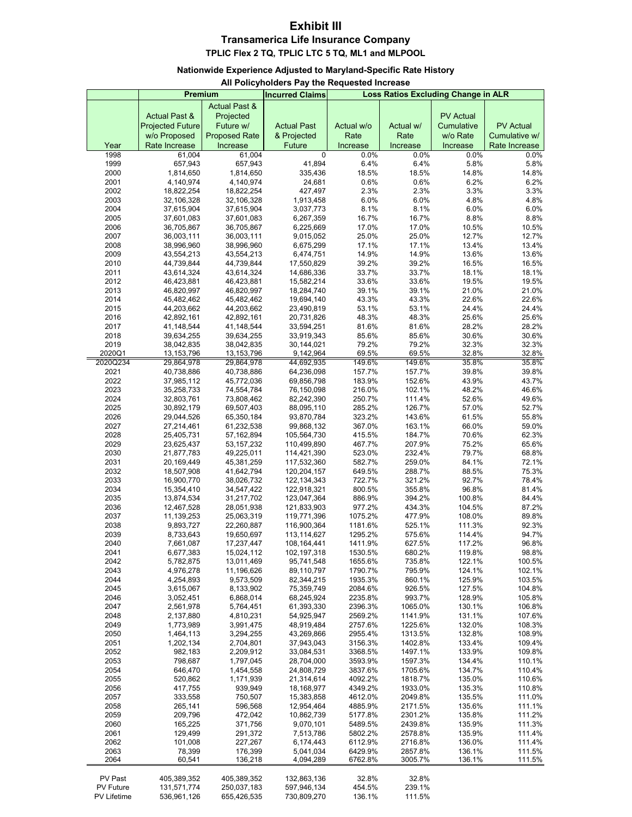## **Exhibit III Transamerica Life Insurance Company**

**TPLIC Flex 2 TQ, TPLIC LTC 5 TQ, ML1 and MLPOOL** 

#### **Nationwide Experience Adjusted to Maryland-Specific Rate History**

#### **All Policyholders Pay the Requested Increase**

|                    | Premium                  |                          | <b>Incurred Claims</b>   |                    | Loss Ratios Excluding Change in ALR |                  |                  |
|--------------------|--------------------------|--------------------------|--------------------------|--------------------|-------------------------------------|------------------|------------------|
|                    |                          | <b>Actual Past &amp;</b> |                          |                    |                                     |                  |                  |
|                    | <b>Actual Past &amp;</b> | Projected                |                          |                    |                                     | <b>PV Actual</b> |                  |
|                    | <b>Projected Future</b>  | Future w/                | <b>Actual Past</b>       | Actual w/o         | Actual w/                           | Cumulative       | <b>PV Actual</b> |
|                    | w/o Proposed             | <b>Proposed Rate</b>     | & Projected              | Rate               | Rate                                | w/o Rate         | Cumulative w/    |
| Year               | Rate Increase            | Increase                 | <b>Future</b>            | Increase           | Increase                            | Increase         | Rate Increase    |
| 1998               | 61,004                   | 61,004                   | 0                        | 0.0%               | 0.0%                                | 0.0%             | 0.0%             |
| 1999               | 657,943                  | 657,943                  | 41,894                   | 6.4%               | 6.4%                                | 5.8%             | 5.8%             |
| 2000               | 1,814,650                | 1,814,650                | 335,436                  | 18.5%              | 18.5%                               | 14.8%            | 14.8%            |
| 2001               | 4,140,974                | 4,140,974                | 24,681                   | 0.6%               | 0.6%                                | 6.2%             | 6.2%             |
| 2002               | 18,822,254               | 18,822,254               | 427,497                  | 2.3%               | 2.3%                                | 3.3%             | 3.3%             |
| 2003               | 32,106,328               | 32,106,328               | 1,913,458                | 6.0%               | 6.0%                                | 4.8%             | 4.8%             |
| 2004               | 37,615,904               | 37,615,904               | 3,037,773                | 8.1%               | 8.1%                                | 6.0%             | 6.0%             |
| 2005               | 37,601,083               | 37,601,083               | 6,267,359                | 16.7%              | 16.7%                               | 8.8%             | 8.8%             |
| 2006               | 36,705,867               | 36,705,867               | 6,225,669                | 17.0%              | 17.0%                               | 10.5%            | 10.5%            |
| 2007               | 36,003,111               | 36,003,111               | 9,015,052                | 25.0%              | 25.0%                               | 12.7%            | 12.7%            |
| 2008               | 38,996,960               | 38,996,960               | 6,675,299                | 17.1%              | 17.1%                               | 13.4%            | 13.4%            |
| 2009               | 43,554,213               | 43,554,213               | 6,474,751                | 14.9%              | 14.9%                               | 13.6%            | 13.6%            |
| 2010               | 44,739,844               | 44,739,844               | 17,550,829               | 39.2%              | 39.2%                               | 16.5%            | 16.5%            |
| 2011               | 43,614,324               | 43,614,324               | 14,686,336               | 33.7%              | 33.7%                               | 18.1%            | 18.1%            |
| 2012               | 46,423,881               | 46,423,881               | 15,582,214               | 33.6%              | 33.6%                               | 19.5%            | 19.5%            |
| 2013               | 46,820,997               | 46,820,997               | 18,284,740               | 39.1%              | 39.1%                               | 21.0%            | 21.0%            |
| 2014               | 45,482,462               | 45,482,462               | 19,694,140               | 43.3%              | 43.3%                               | 22.6%            | 22.6%            |
| 2015               | 44,203,662               | 44,203,662               | 23,490,819               | 53.1%              | 53.1%                               | 24.4%            | 24.4%            |
| 2016               | 42,892,161               | 42,892,161               | 20,731,826               | 48.3%              | 48.3%                               | 25.6%            | 25.6%            |
| 2017               | 41,148,544               | 41,148,544               | 33,594,251               | 81.6%              | 81.6%                               | 28.2%            | 28.2%            |
| 2018               | 39,634,255               | 39,634,255               | 33,919,343               | 85.6%              | 85.6%                               | 30.6%            | 30.6%            |
| 2019               | 38,042,835               | 38,042,835               | 30,144,021               | 79.2%              | 79.2%                               | 32.3%            | 32.3%            |
| 2020Q1             | 13,153,796               | 13,153,796               | 9,142,964                | 69.5%              | 69.5%                               | 32.8%            | 32.8%            |
| 2020Q234           | 29,864,978               | 29,864,978               | 44,692,935               | 149.6%             | 149.6%                              | 35.8%            | 35.8%            |
| 2021               | 40,738,886               | 40,738,886               | 64,236,098               | 157.7%             | 157.7%                              | 39.8%            | 39.8%<br>43.7%   |
| 2022               | 37,985,112               | 45,772,036               | 69,856,798               | 183.9%             | 152.6%<br>102.1%                    | 43.9%            |                  |
| 2023<br>2024       | 35,258,733<br>32,803,761 | 74,554,784<br>73,808,462 | 76,150,098               | 216.0%<br>250.7%   | 111.4%                              | 48.2%<br>52.6%   | 46.6%<br>49.6%   |
| 2025               | 30,892,179               | 69,507,403               | 82,242,390<br>88,095,110 | 285.2%             | 126.7%                              | 57.0%            | 52.7%            |
| 2026               | 29,044,526               | 65,350,184               | 93,870,784               | 323.2%             | 143.6%                              | 61.5%            | 55.8%            |
| 2027               | 27,214,461               | 61,232,538               | 99,868,132               | 367.0%             | 163.1%                              | 66.0%            | 59.0%            |
| 2028               | 25,405,731               | 57,162,894               | 105,564,730              | 415.5%             | 184.7%                              | 70.6%            | 62.3%            |
| 2029               | 23,625,437               | 53, 157, 232             | 110,499,890              | 467.7%             | 207.9%                              | 75.2%            | 65.6%            |
| 2030               | 21,877,783               | 49,225,011               | 114,421,390              | 523.0%             | 232.4%                              | 79.7%            | 68.8%            |
| 2031               | 20,169,449               | 45,381,259               | 117,532,360              | 582.7%             | 259.0%                              | 84.1%            | 72.1%            |
| 2032               | 18,507,908               | 41,642,794               | 120,204,157              | 649.5%             | 288.7%                              | 88.5%            | 75.3%            |
| 2033               | 16,900,770               | 38,026,732               | 122, 134, 343            | 722.7%             | 321.2%                              | 92.7%            | 78.4%            |
| 2034               | 15,354,410               | 34,547,422               | 122,918,321              | 800.5%             | 355.8%                              | 96.8%            | 81.4%            |
| 2035               | 13,874,534               | 31,217,702               | 123,047,364              | 886.9%             | 394.2%                              | 100.8%           | 84.4%            |
| 2036               | 12,467,528               | 28,051,938               | 121,833,903              | 977.2%             | 434.3%                              | 104.5%           | 87.2%            |
| 2037               | 11,139,253               | 25,063,319               | 119,771,396              | 1075.2%            | 477.9%                              | 108.0%           | 89.8%            |
| 2038               | 9,893,727                | 22,260,887               | 116,900,364              | 1181.6%            | 525.1%                              | 111.3%           | 92.3%            |
| 2039               | 8,733,643                | 19,650,697               | 113,114,627              | 1295.2%            | 575.6%                              | 114.4%           | 94.7%            |
| 2040               | 7,661,087                | 17,237,447               | 108, 164, 441            | 1411.9%            | 627.5%                              | 117.2%           | 96.8%            |
| 2041               | 6,677,383                | 15,024,112               | 102,197,318              | 1530.5%            | 680.2%                              | 119.8%           | 98.8%            |
| 2042               | 5,782,875                | 13,011,469               | 95,741,548               | 1655.6%            | 735.8%                              | 122.1%           | 100.5%           |
| 2043               | 4,976,278                | 11,196,626               | 89,110,797               | 1790.7%            | 795.9%                              | 124.1%           | 102.1%           |
| 2044               | 4,254,893                | 9,573,509                | 82,344,215               | 1935.3%            | 860.1%                              | 125.9%           | 103.5%           |
| 2045               | 3,615,067                | 8,133,902                | 75,359,749               | 2084.6%            | 926.5%                              | 127.5%           | 104.8%           |
| 2046<br>2047       | 3,052,451<br>2,561,978   | 6,868,014<br>5,764,451   | 68,245,924<br>61,393,330 | 2235.8%<br>2396.3% | 993.7%<br>1065.0%                   | 128.9%<br>130.1% | 105.8%<br>106.8% |
| 2048               | 2,137,880                | 4,810,231                | 54,925,947               |                    | 1141.9%                             | 131.1%           | 107.6%           |
| 2049               | 1,773,989                | 3,991,475                | 48,919,484               | 2569.2%<br>2757.6% | 1225.6%                             | 132.0%           | 108.3%           |
| 2050               | 1,464,113                | 3,294,255                | 43,269,866               | 2955.4%            | 1313.5%                             | 132.8%           | 108.9%           |
| 2051               | 1,202,134                | 2,704,801                | 37,943,043               | 3156.3%            | 1402.8%                             | 133.4%           | 109.4%           |
| 2052               | 982,183                  | 2,209,912                | 33,084,531               | 3368.5%            | 1497.1%                             | 133.9%           | 109.8%           |
| 2053               | 798,687                  | 1,797,045                | 28,704,000               | 3593.9%            | 1597.3%                             | 134.4%           | 110.1%           |
| 2054               | 646,470                  | 1,454,558                | 24,808,729               | 3837.6%            | 1705.6%                             | 134.7%           | 110.4%           |
| 2055               | 520,862                  | 1,171,939                | 21,314,614               | 4092.2%            | 1818.7%                             | 135.0%           | 110.6%           |
| 2056               | 417,755                  | 939,949                  | 18,168,977               | 4349.2%            | 1933.0%                             | 135.3%           | 110.8%           |
| 2057               | 333,558                  | 750,507                  | 15,383,858               | 4612.0%            | 2049.8%                             | 135.5%           | 111.0%           |
| 2058               | 265,141                  | 596,568                  | 12,954,464               | 4885.9%            | 2171.5%                             | 135.6%           | 111.1%           |
| 2059               | 209,796                  | 472,042                  | 10,862,739               | 5177.8%            | 2301.2%                             | 135.8%           | 111.2%           |
| 2060               | 165,225                  | 371,756                  | 9,070,101                | 5489.5%            | 2439.8%                             | 135.9%           | 111.3%           |
| 2061               | 129,499                  | 291,372                  | 7,513,786                | 5802.2%            | 2578.8%                             | 135.9%           | 111.4%           |
| 2062               | 101,008                  | 227,267                  | 6,174,443                | 6112.9%            | 2716.8%                             | 136.0%           | 111.4%           |
| 2063               | 78,399                   | 176,399                  | 5,041,034                | 6429.9%            | 2857.8%                             | 136.1%           | 111.5%           |
| 2064               | 60,541                   | 136,218                  | 4,094,289                | 6762.8%            | 3005.7%                             | 136.1%           | 111.5%           |
|                    |                          |                          |                          |                    |                                     |                  |                  |
| PV Past            | 405,389,352              | 405,389,352              | 132,863,136              | 32.8%              | 32.8%                               |                  |                  |
| <b>PV Future</b>   | 131,571,774              | 250,037,183              | 597,946,134              | 454.5%             | 239.1%                              |                  |                  |
| <b>PV Lifetime</b> | 536,961,126              | 655,426,535              | 730,809,270              | 136.1%             | 111.5%                              |                  |                  |